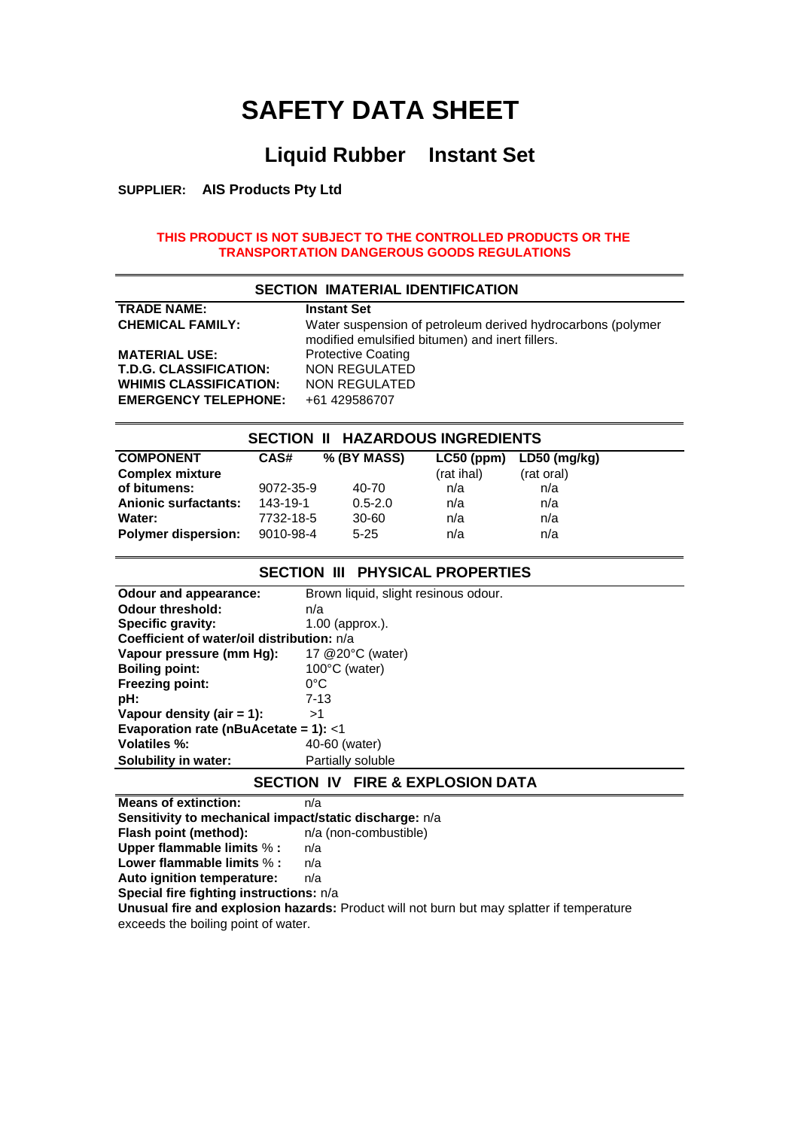# **SAFETY DATA SHEET**

### **Liquid Rubber Instant Set**

**SUPPLIER: AIS Products Pty Ltd**

#### **THIS PRODUCT IS NOT SUBJECT TO THE CONTROLLED PRODUCTS OR THE TRANSPORTATION DANGEROUS GOODS REGULATIONS**

| <b>SECTION IMATERIAL IDENTIFICATION</b> |                                                                                                                |  |
|-----------------------------------------|----------------------------------------------------------------------------------------------------------------|--|
| <b>TRADE NAME:</b>                      | <b>Instant Set</b>                                                                                             |  |
| <b>CHEMICAL FAMILY:</b>                 | Water suspension of petroleum derived hydrocarbons (polymer<br>modified emulsified bitumen) and inert fillers. |  |
| <b>MATERIAL USE:</b>                    | <b>Protective Coating</b>                                                                                      |  |
| <b>T.D.G. CLASSIFICATION:</b>           | <b>NON REGULATED</b>                                                                                           |  |
| <b>WHIMIS CLASSIFICATION:</b>           | NON REGULATED                                                                                                  |  |
| <b>EMERGENCY TELEPHONE:</b>             | +61 429586707                                                                                                  |  |

## **SECTION II HAZARDOUS INGREDIENTS**

| <b>Complex mixture</b><br>(rat ihal)<br>(rat oral)<br>of bitumens:<br>9072-35-9<br>40-70<br>n/a<br>n/a<br><b>Anionic surfactants:</b><br>143-19-1<br>$0.5 - 2.0$<br>n/a<br>n/a<br>Water:<br>n/a<br>7732-18-5<br>$30 - 60$<br>n/a | $LC50$ (ppm) $LD50$ (mg/kg) |
|----------------------------------------------------------------------------------------------------------------------------------------------------------------------------------------------------------------------------------|-----------------------------|
|                                                                                                                                                                                                                                  |                             |
|                                                                                                                                                                                                                                  |                             |
|                                                                                                                                                                                                                                  |                             |
|                                                                                                                                                                                                                                  |                             |
| <b>Polymer dispersion:</b><br>n/a<br>9010-98-4<br>$5 - 25$<br>n/a                                                                                                                                                                |                             |

#### **SECTION III PHYSICAL PROPERTIES**

| Odour and appearance:                      | Brown liquid, slight resinous odour. |  |
|--------------------------------------------|--------------------------------------|--|
| <b>Odour threshold:</b>                    | n/a                                  |  |
| Specific gravity:                          | $1.00$ (approx.).                    |  |
| Coefficient of water/oil distribution: n/a |                                      |  |
| Vapour pressure (mm Hg):                   | 17 @20°C (water)                     |  |
| <b>Boiling point:</b>                      | 100°C (water)                        |  |
| <b>Freezing point:</b>                     | 0°C                                  |  |
| pH:                                        | $7 - 13$                             |  |
| Vapour density (air $= 1$ ):               | >1                                   |  |
| Evaporation rate (nBuAcetate = 1): $<$ 1   |                                      |  |
| Volatiles %:                               | 40-60 (water)                        |  |
| Solubility in water:                       | Partially soluble                    |  |
|                                            |                                      |  |

#### **SECTION IV FIRE & EXPLOSION DATA**

**Means of extinction:** n/a **Sensitivity to mechanical impact/static discharge:**  $n/a$ <br>**Flash point (method):**  $n/a$  (non-combustible) **Flash point (method): Upper flammable limits** % **:** n/a **Lower flammable limits** % **:** n/a **Auto ignition temperature:** n/a **Special fire fighting instructions:** n/a **Unusual fire and explosion hazards:** Product will not burn but may splatter if temperature exceeds the boiling point of water.